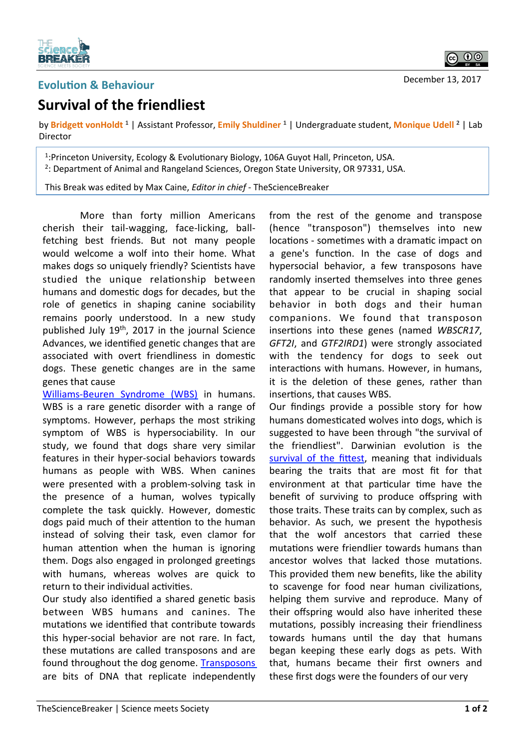

## **Evolution & Behaviour**

ெ 0

## December 13, 2017

## **Survival of the friendliest**

by Bridgett vonHoldt<sup>1</sup> | Assistant Professor, Emily Shuldiner<sup>1</sup> | Undergraduate student, Monique Udell<sup>2</sup> | Lab Director 

<sup>1</sup>:Princeton University, Ecology & Evolutionary Biology, 106A Guyot Hall, Princeton, USA. <sup>2</sup>: Department of Animal and Rangeland Sciences, Oregon State University, OR 97331, USA.

This Break was edited by Max Caine, *Editor in chief* - TheScienceBreaker

More than forty million Americans cherish their tail-wagging, face-licking, ballfetching best friends. But not many people would welcome a wolf into their home. What makes dogs so uniquely friendly? Scientists have studied the unique relationship between humans and domestic dogs for decades, but the role of genetics in shaping canine sociability remains poorly understood. In a new study published July  $19<sup>th</sup>$ , 2017 in the journal Science Advances, we identified genetic changes that are associated with overt friendliness in domestic dogs. These genetic changes are in the same genes that cause

Williams-Beuren Syndrome (WBS) in humans. WBS is a rare genetic disorder with a range of symptoms. However, perhaps the most striking symptom of WBS is hypersociability. In our study, we found that dogs share very similar features in their hyper-social behaviors towards humans as people with WBS. When canines were presented with a problem-solving task in the presence of a human, wolves typically complete the task quickly. However, domestic dogs paid much of their attention to the human instead of solving their task, even clamor for human attention when the human is ignoring them. Dogs also engaged in prolonged greetings with humans, whereas wolves are quick to return to their individual activities.

Our study also identified a shared genetic basis between WBS humans and canines. The mutations we identified that contribute towards this hyper-social behavior are not rare. In fact, these mutations are called transposons and are found throughout the dog genome. Transposons are bits of DNA that replicate independently from the rest of the genome and transpose (hence "transposon") themselves into new locations - sometimes with a dramatic impact on a gene's function. In the case of dogs and hypersocial behavior, a few transposons have randomly inserted themselves into three genes that appear to be crucial in shaping social behavior in both dogs and their human companions. We found that transposon insertions into these genes (named WBSCR17, GFT2I, and GTF2IRD1) were strongly associated with the tendency for dogs to seek out interactions with humans. However, in humans, it is the deletion of these genes, rather than insertions, that causes WBS.

Our findings provide a possible story for how humans domesticated wolves into dogs, which is suggested to have been through "the survival of the friendliest". Darwinian evolution is the survival of the fittest, meaning that individuals bearing the traits that are most fit for that environment at that particular time have the benefit of surviving to produce offspring with those traits. These traits can by complex, such as behavior. As such, we present the hypothesis that the wolf ancestors that carried these mutations were friendlier towards humans than ancestor wolves that lacked those mutations. This provided them new benefits, like the ability to scavenge for food near human civilizations, helping them survive and reproduce. Many of their offspring would also have inherited these mutations, possibly increasing their friendliness towards humans until the day that humans began keeping these early dogs as pets. With that, humans became their first owners and these first dogs were the founders of our very